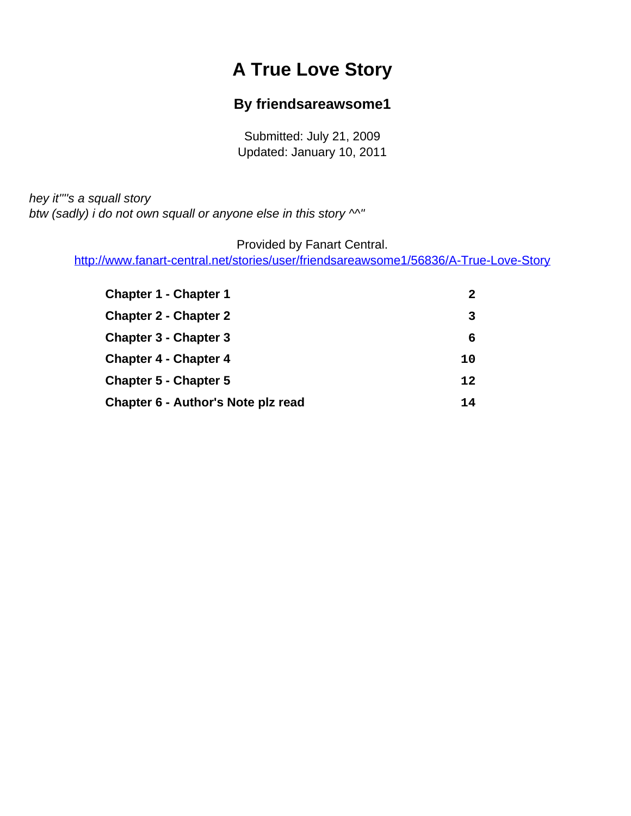# **A True Love Story**

#### **By friendsareawsome1**

Submitted: July 21, 2009 Updated: January 10, 2011

<span id="page-0-0"></span>hey it""s a squall story btw (sadly) i do not own squall or anyone else in this story  $\wedge^N$ "

Provided by Fanart Central.

[http://www.fanart-central.net/stories/user/friendsareawsome1/56836/A-True-Love-Story](#page-0-0)

| <b>Chapter 1 - Chapter 1</b>       |    |
|------------------------------------|----|
| <b>Chapter 2 - Chapter 2</b>       |    |
| <b>Chapter 3 - Chapter 3</b>       | 6  |
| <b>Chapter 4 - Chapter 4</b>       | 10 |
| <b>Chapter 5 - Chapter 5</b>       | 12 |
| Chapter 6 - Author's Note plz read | 14 |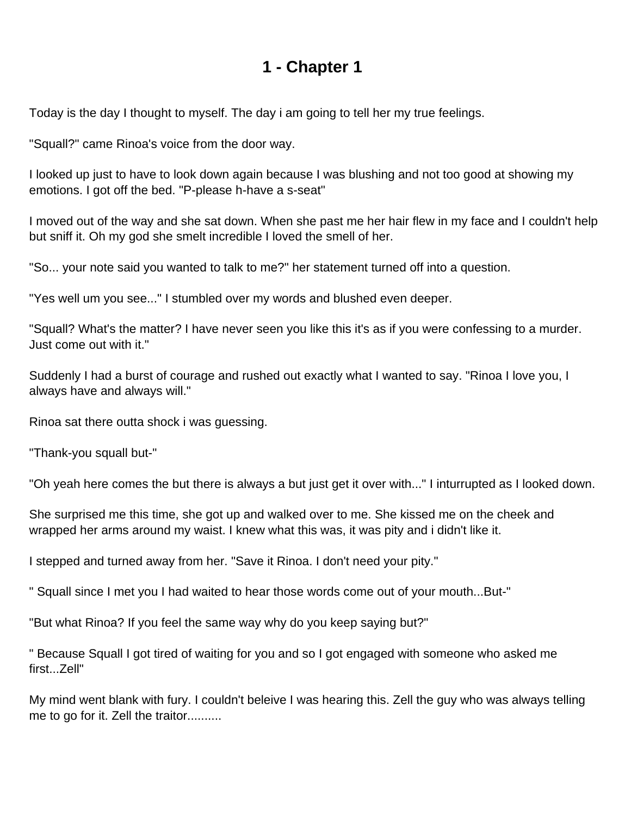<span id="page-1-0"></span>Today is the day I thought to myself. The day i am going to tell her my true feelings.

"Squall?" came Rinoa's voice from the door way.

I looked up just to have to look down again because I was blushing and not too good at showing my emotions. I got off the bed. "P-please h-have a s-seat"

I moved out of the way and she sat down. When she past me her hair flew in my face and I couldn't help but sniff it. Oh my god she smelt incredible I loved the smell of her.

"So... your note said you wanted to talk to me?" her statement turned off into a question.

"Yes well um you see..." I stumbled over my words and blushed even deeper.

"Squall? What's the matter? I have never seen you like this it's as if you were confessing to a murder. Just come out with it."

Suddenly I had a burst of courage and rushed out exactly what I wanted to say. "Rinoa I love you, I always have and always will."

Rinoa sat there outta shock i was guessing.

"Thank-you squall but-"

"Oh yeah here comes the but there is always a but just get it over with..." I inturrupted as I looked down.

She surprised me this time, she got up and walked over to me. She kissed me on the cheek and wrapped her arms around my waist. I knew what this was, it was pity and i didn't like it.

I stepped and turned away from her. "Save it Rinoa. I don't need your pity."

" Squall since I met you I had waited to hear those words come out of your mouth...But-"

"But what Rinoa? If you feel the same way why do you keep saying but?"

" Because Squall I got tired of waiting for you and so I got engaged with someone who asked me first...Zell"

My mind went blank with fury. I couldn't beleive I was hearing this. Zell the guy who was always telling me to go for it. Zell the traitor..........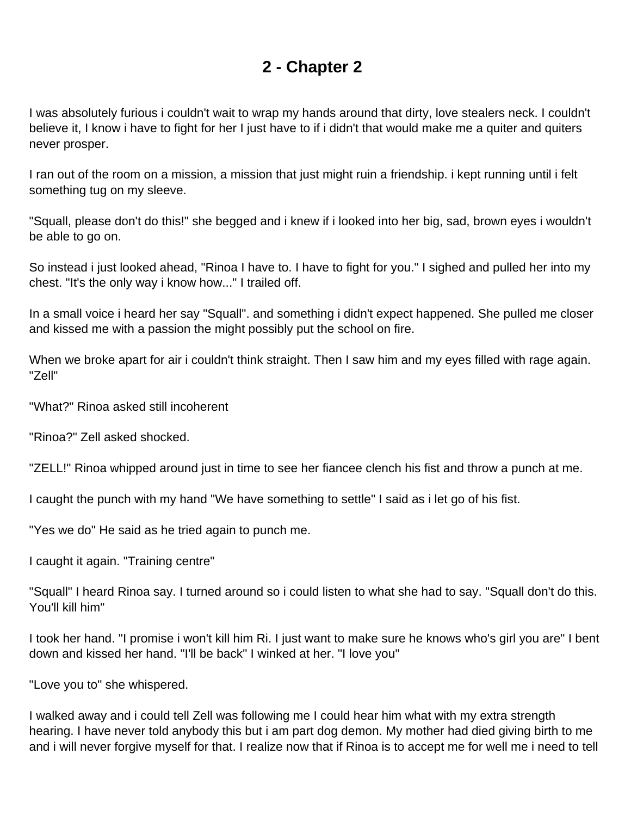<span id="page-2-0"></span>I was absolutely furious i couldn't wait to wrap my hands around that dirty, love stealers neck. I couldn't believe it, I know i have to fight for her I just have to if i didn't that would make me a quiter and quiters never prosper.

I ran out of the room on a mission, a mission that just might ruin a friendship. i kept running until i felt something tug on my sleeve.

"Squall, please don't do this!" she begged and i knew if i looked into her big, sad, brown eyes i wouldn't be able to go on.

So instead i just looked ahead, "Rinoa I have to. I have to fight for you." I sighed and pulled her into my chest. "It's the only way i know how..." I trailed off.

In a small voice i heard her say "Squall". and something i didn't expect happened. She pulled me closer and kissed me with a passion the might possibly put the school on fire.

When we broke apart for air i couldn't think straight. Then I saw him and my eyes filled with rage again. "Zell"

"What?" Rinoa asked still incoherent

"Rinoa?" Zell asked shocked.

"ZELL!" Rinoa whipped around just in time to see her fiancee clench his fist and throw a punch at me.

I caught the punch with my hand "We have something to settle" I said as i let go of his fist.

"Yes we do" He said as he tried again to punch me.

I caught it again. "Training centre"

"Squall" I heard Rinoa say. I turned around so i could listen to what she had to say. "Squall don't do this. You'll kill him"

I took her hand. "I promise i won't kill him Ri. I just want to make sure he knows who's girl you are" I bent down and kissed her hand. "I'll be back" I winked at her. "I love you"

"Love you to" she whispered.

I walked away and i could tell Zell was following me I could hear him what with my extra strength hearing. I have never told anybody this but i am part dog demon. My mother had died giving birth to me and i will never forgive myself for that. I realize now that if Rinoa is to accept me for well me i need to tell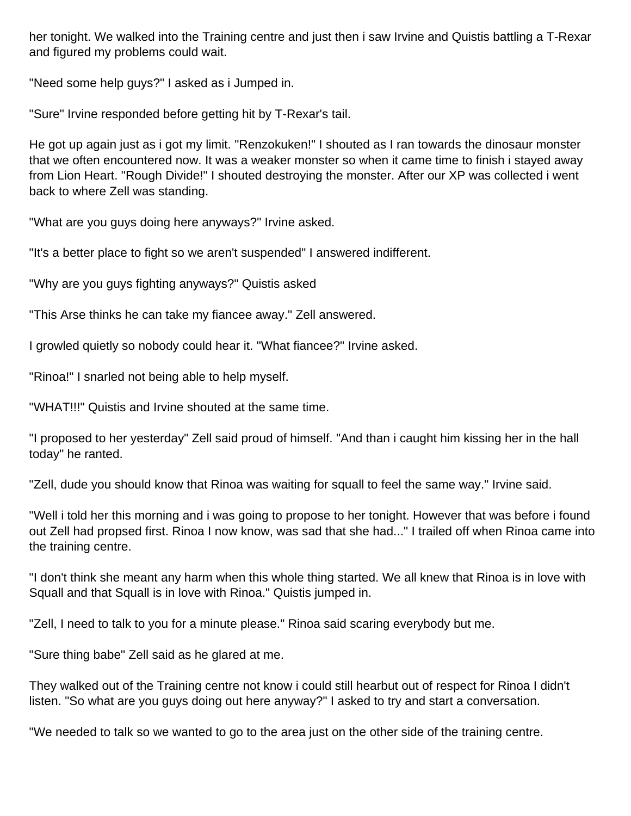her tonight. We walked into the Training centre and just then i saw Irvine and Quistis battling a T-Rexar and figured my problems could wait.

"Need some help guys?" I asked as i Jumped in.

"Sure" Irvine responded before getting hit by T-Rexar's tail.

He got up again just as i got my limit. "Renzokuken!" I shouted as I ran towards the dinosaur monster that we often encountered now. It was a weaker monster so when it came time to finish i stayed away from Lion Heart. "Rough Divide!" I shouted destroying the monster. After our XP was collected i went back to where Zell was standing.

"What are you guys doing here anyways?" Irvine asked.

"It's a better place to fight so we aren't suspended" I answered indifferent.

"Why are you guys fighting anyways?" Quistis asked

"This Arse thinks he can take my fiancee away." Zell answered.

I growled quietly so nobody could hear it. "What fiancee?" Irvine asked.

"Rinoa!" I snarled not being able to help myself.

"WHAT!!!" Quistis and Irvine shouted at the same time.

"I proposed to her yesterday" Zell said proud of himself. "And than i caught him kissing her in the hall today" he ranted.

"Zell, dude you should know that Rinoa was waiting for squall to feel the same way." Irvine said.

"Well i told her this morning and i was going to propose to her tonight. However that was before i found out Zell had propsed first. Rinoa I now know, was sad that she had..." I trailed off when Rinoa came into the training centre.

"I don't think she meant any harm when this whole thing started. We all knew that Rinoa is in love with Squall and that Squall is in love with Rinoa." Quistis jumped in.

"Zell, I need to talk to you for a minute please." Rinoa said scaring everybody but me.

"Sure thing babe" Zell said as he glared at me.

They walked out of the Training centre not know i could still hearbut out of respect for Rinoa I didn't listen. "So what are you guys doing out here anyway?" I asked to try and start a conversation.

"We needed to talk so we wanted to go to the area just on the other side of the training centre.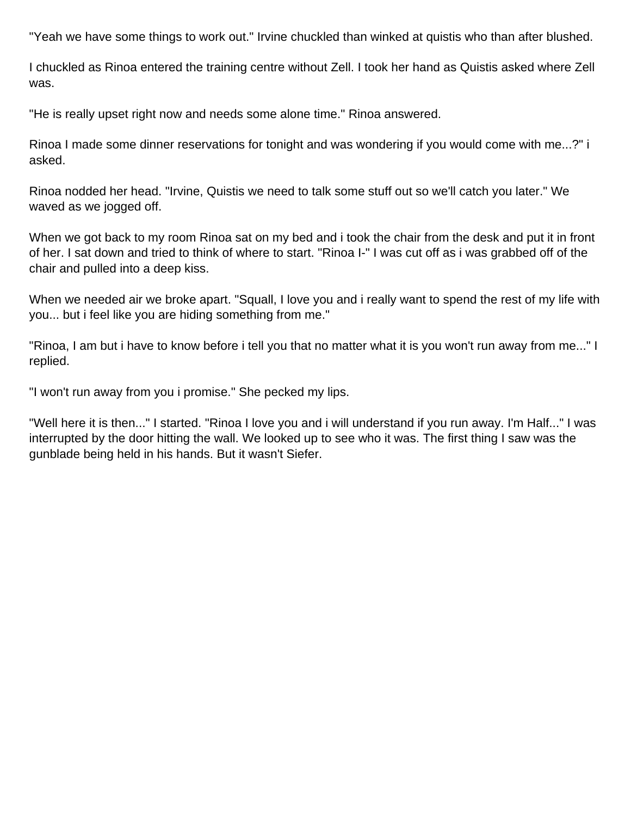"Yeah we have some things to work out." Irvine chuckled than winked at quistis who than after blushed.

I chuckled as Rinoa entered the training centre without Zell. I took her hand as Quistis asked where Zell was.

"He is really upset right now and needs some alone time." Rinoa answered.

Rinoa I made some dinner reservations for tonight and was wondering if you would come with me...?" i asked.

Rinoa nodded her head. "Irvine, Quistis we need to talk some stuff out so we'll catch you later." We waved as we jogged off.

When we got back to my room Rinoa sat on my bed and i took the chair from the desk and put it in front of her. I sat down and tried to think of where to start. "Rinoa I-" I was cut off as i was grabbed off of the chair and pulled into a deep kiss.

When we needed air we broke apart. "Squall, I love you and i really want to spend the rest of my life with you... but i feel like you are hiding something from me."

"Rinoa, I am but i have to know before i tell you that no matter what it is you won't run away from me..." I replied.

"I won't run away from you i promise." She pecked my lips.

"Well here it is then..." I started. "Rinoa I love you and i will understand if you run away. I'm Half..." I was interrupted by the door hitting the wall. We looked up to see who it was. The first thing I saw was the gunblade being held in his hands. But it wasn't Siefer.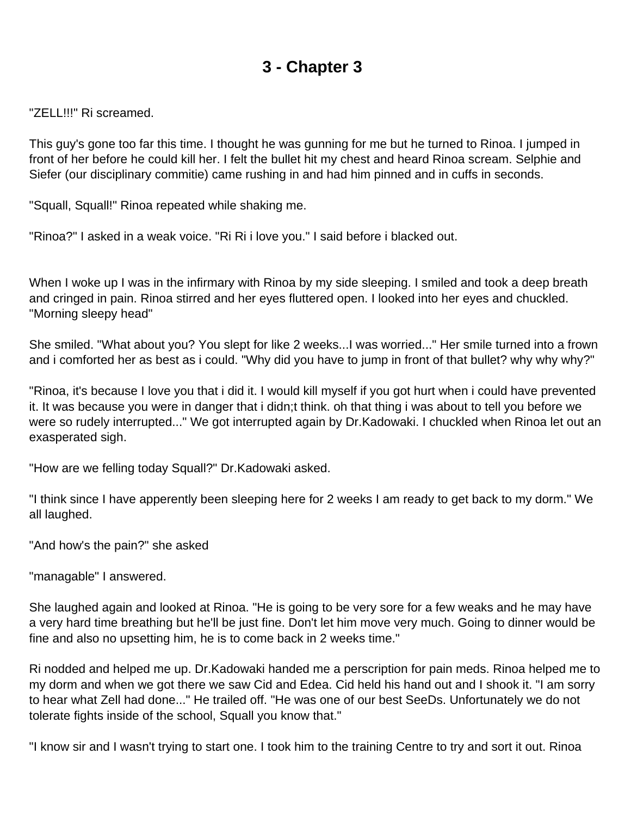<span id="page-5-0"></span>"ZELL!!!" Ri screamed.

This guy's gone too far this time. I thought he was gunning for me but he turned to Rinoa. I jumped in front of her before he could kill her. I felt the bullet hit my chest and heard Rinoa scream. Selphie and Siefer (our disciplinary commitie) came rushing in and had him pinned and in cuffs in seconds.

"Squall, Squall!" Rinoa repeated while shaking me.

"Rinoa?" I asked in a weak voice. "Ri Ri i love you." I said before i blacked out.

When I woke up I was in the infirmary with Rinoa by my side sleeping. I smiled and took a deep breath and cringed in pain. Rinoa stirred and her eyes fluttered open. I looked into her eyes and chuckled. "Morning sleepy head"

She smiled. "What about you? You slept for like 2 weeks...I was worried..." Her smile turned into a frown and i comforted her as best as i could. "Why did you have to jump in front of that bullet? why why why?"

"Rinoa, it's because I love you that i did it. I would kill myself if you got hurt when i could have prevented it. It was because you were in danger that i didn;t think. oh that thing i was about to tell you before we were so rudely interrupted..." We got interrupted again by Dr.Kadowaki. I chuckled when Rinoa let out an exasperated sigh.

"How are we felling today Squall?" Dr.Kadowaki asked.

"I think since I have apperently been sleeping here for 2 weeks I am ready to get back to my dorm." We all laughed.

"And how's the pain?" she asked

"managable" I answered.

She laughed again and looked at Rinoa. "He is going to be very sore for a few weaks and he may have a very hard time breathing but he'll be just fine. Don't let him move very much. Going to dinner would be fine and also no upsetting him, he is to come back in 2 weeks time."

Ri nodded and helped me up. Dr.Kadowaki handed me a perscription for pain meds. Rinoa helped me to my dorm and when we got there we saw Cid and Edea. Cid held his hand out and I shook it. "I am sorry to hear what Zell had done..." He trailed off. "He was one of our best SeeDs. Unfortunately we do not tolerate fights inside of the school, Squall you know that."

"I know sir and I wasn't trying to start one. I took him to the training Centre to try and sort it out. Rinoa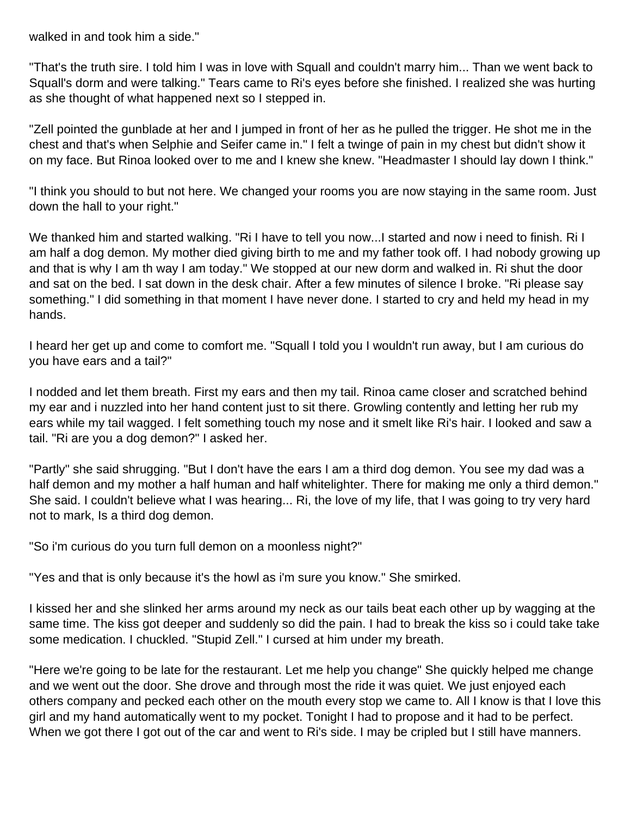walked in and took him a side."

"That's the truth sire. I told him I was in love with Squall and couldn't marry him... Than we went back to Squall's dorm and were talking." Tears came to Ri's eyes before she finished. I realized she was hurting as she thought of what happened next so I stepped in.

"Zell pointed the gunblade at her and I jumped in front of her as he pulled the trigger. He shot me in the chest and that's when Selphie and Seifer came in." I felt a twinge of pain in my chest but didn't show it on my face. But Rinoa looked over to me and I knew she knew. "Headmaster I should lay down I think."

"I think you should to but not here. We changed your rooms you are now staying in the same room. Just down the hall to your right."

We thanked him and started walking. "Ri I have to tell you now...I started and now i need to finish. Ri I am half a dog demon. My mother died giving birth to me and my father took off. I had nobody growing up and that is why I am th way I am today." We stopped at our new dorm and walked in. Ri shut the door and sat on the bed. I sat down in the desk chair. After a few minutes of silence I broke. "Ri please say something." I did something in that moment I have never done. I started to cry and held my head in my hands.

I heard her get up and come to comfort me. "Squall I told you I wouldn't run away, but I am curious do you have ears and a tail?"

I nodded and let them breath. First my ears and then my tail. Rinoa came closer and scratched behind my ear and i nuzzled into her hand content just to sit there. Growling contently and letting her rub my ears while my tail wagged. I felt something touch my nose and it smelt like Ri's hair. I looked and saw a tail. "Ri are you a dog demon?" I asked her.

"Partly" she said shrugging. "But I don't have the ears I am a third dog demon. You see my dad was a half demon and my mother a half human and half whitelighter. There for making me only a third demon." She said. I couldn't believe what I was hearing... Ri, the love of my life, that I was going to try very hard not to mark, Is a third dog demon.

"So i'm curious do you turn full demon on a moonless night?"

"Yes and that is only because it's the howl as i'm sure you know." She smirked.

I kissed her and she slinked her arms around my neck as our tails beat each other up by wagging at the same time. The kiss got deeper and suddenly so did the pain. I had to break the kiss so i could take take some medication. I chuckled. "Stupid Zell." I cursed at him under my breath.

"Here we're going to be late for the restaurant. Let me help you change" She quickly helped me change and we went out the door. She drove and through most the ride it was quiet. We just enjoyed each others company and pecked each other on the mouth every stop we came to. All I know is that I love this girl and my hand automatically went to my pocket. Tonight I had to propose and it had to be perfect. When we got there I got out of the car and went to Ri's side. I may be cripled but I still have manners.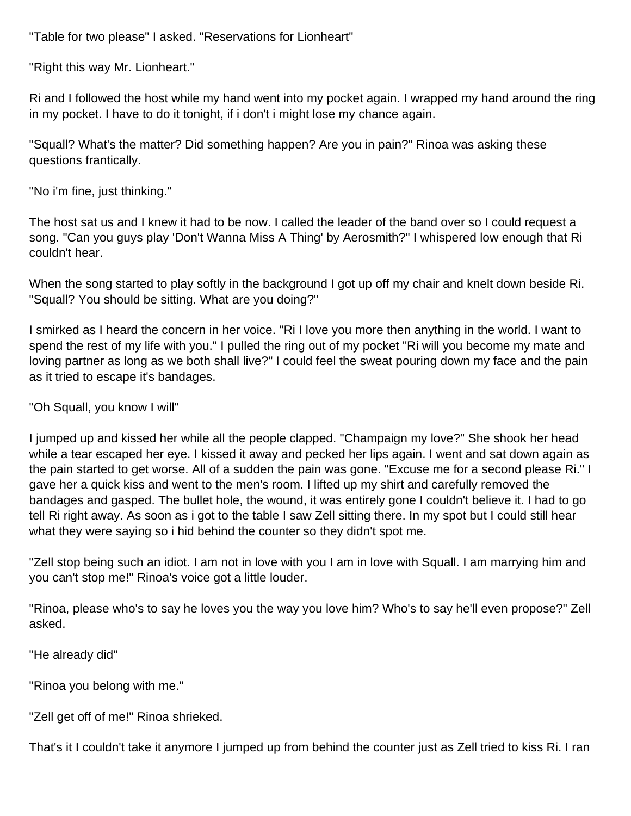"Table for two please" I asked. "Reservations for Lionheart"

"Right this way Mr. Lionheart."

Ri and I followed the host while my hand went into my pocket again. I wrapped my hand around the ring in my pocket. I have to do it tonight, if i don't i might lose my chance again.

"Squall? What's the matter? Did something happen? Are you in pain?" Rinoa was asking these questions frantically.

"No i'm fine, just thinking."

The host sat us and I knew it had to be now. I called the leader of the band over so I could request a song. "Can you guys play 'Don't Wanna Miss A Thing' by Aerosmith?" I whispered low enough that Ri couldn't hear.

When the song started to play softly in the background I got up off my chair and knelt down beside Ri. "Squall? You should be sitting. What are you doing?"

I smirked as I heard the concern in her voice. "Ri I love you more then anything in the world. I want to spend the rest of my life with you." I pulled the ring out of my pocket "Ri will you become my mate and loving partner as long as we both shall live?" I could feel the sweat pouring down my face and the pain as it tried to escape it's bandages.

"Oh Squall, you know I will"

I jumped up and kissed her while all the people clapped. "Champaign my love?" She shook her head while a tear escaped her eye. I kissed it away and pecked her lips again. I went and sat down again as the pain started to get worse. All of a sudden the pain was gone. "Excuse me for a second please Ri." I gave her a quick kiss and went to the men's room. I lifted up my shirt and carefully removed the bandages and gasped. The bullet hole, the wound, it was entirely gone I couldn't believe it. I had to go tell Ri right away. As soon as i got to the table I saw Zell sitting there. In my spot but I could still hear what they were saying so i hid behind the counter so they didn't spot me.

"Zell stop being such an idiot. I am not in love with you I am in love with Squall. I am marrying him and you can't stop me!" Rinoa's voice got a little louder.

"Rinoa, please who's to say he loves you the way you love him? Who's to say he'll even propose?" Zell asked.

"He already did"

"Rinoa you belong with me."

"Zell get off of me!" Rinoa shrieked.

That's it I couldn't take it anymore I jumped up from behind the counter just as Zell tried to kiss Ri. I ran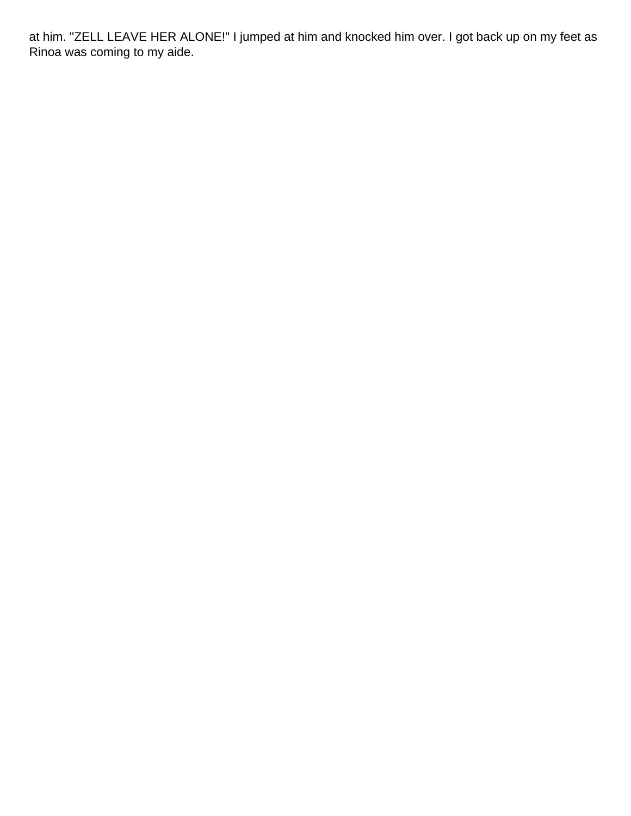at him. "ZELL LEAVE HER ALONE!" I jumped at him and knocked him over. I got back up on my feet as Rinoa was coming to my aide.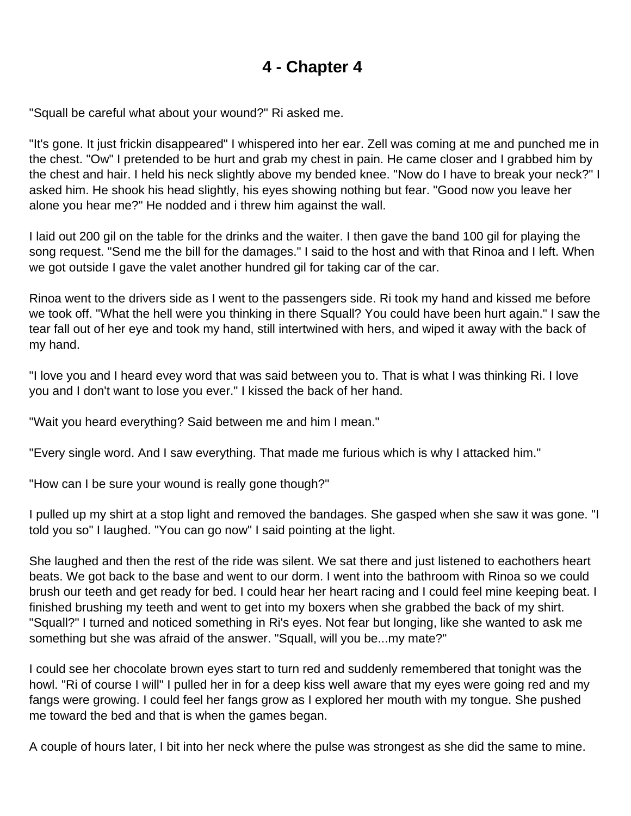<span id="page-9-0"></span>"Squall be careful what about your wound?" Ri asked me.

"It's gone. It just frickin disappeared" I whispered into her ear. Zell was coming at me and punched me in the chest. "Ow" I pretended to be hurt and grab my chest in pain. He came closer and I grabbed him by the chest and hair. I held his neck slightly above my bended knee. "Now do I have to break your neck?" I asked him. He shook his head slightly, his eyes showing nothing but fear. "Good now you leave her alone you hear me?" He nodded and i threw him against the wall.

I laid out 200 gil on the table for the drinks and the waiter. I then gave the band 100 gil for playing the song request. "Send me the bill for the damages." I said to the host and with that Rinoa and I left. When we got outside I gave the valet another hundred gil for taking car of the car.

Rinoa went to the drivers side as I went to the passengers side. Ri took my hand and kissed me before we took off. "What the hell were you thinking in there Squall? You could have been hurt again." I saw the tear fall out of her eye and took my hand, still intertwined with hers, and wiped it away with the back of my hand.

"I love you and I heard evey word that was said between you to. That is what I was thinking Ri. I love you and I don't want to lose you ever." I kissed the back of her hand.

"Wait you heard everything? Said between me and him I mean."

"Every single word. And I saw everything. That made me furious which is why I attacked him."

"How can I be sure your wound is really gone though?"

I pulled up my shirt at a stop light and removed the bandages. She gasped when she saw it was gone. "I told you so" I laughed. "You can go now" I said pointing at the light.

She laughed and then the rest of the ride was silent. We sat there and just listened to eachothers heart beats. We got back to the base and went to our dorm. I went into the bathroom with Rinoa so we could brush our teeth and get ready for bed. I could hear her heart racing and I could feel mine keeping beat. I finished brushing my teeth and went to get into my boxers when she grabbed the back of my shirt. "Squall?" I turned and noticed something in Ri's eyes. Not fear but longing, like she wanted to ask me something but she was afraid of the answer. "Squall, will you be...my mate?"

I could see her chocolate brown eyes start to turn red and suddenly remembered that tonight was the howl. "Ri of course I will" I pulled her in for a deep kiss well aware that my eyes were going red and my fangs were growing. I could feel her fangs grow as I explored her mouth with my tongue. She pushed me toward the bed and that is when the games began.

A couple of hours later, I bit into her neck where the pulse was strongest as she did the same to mine.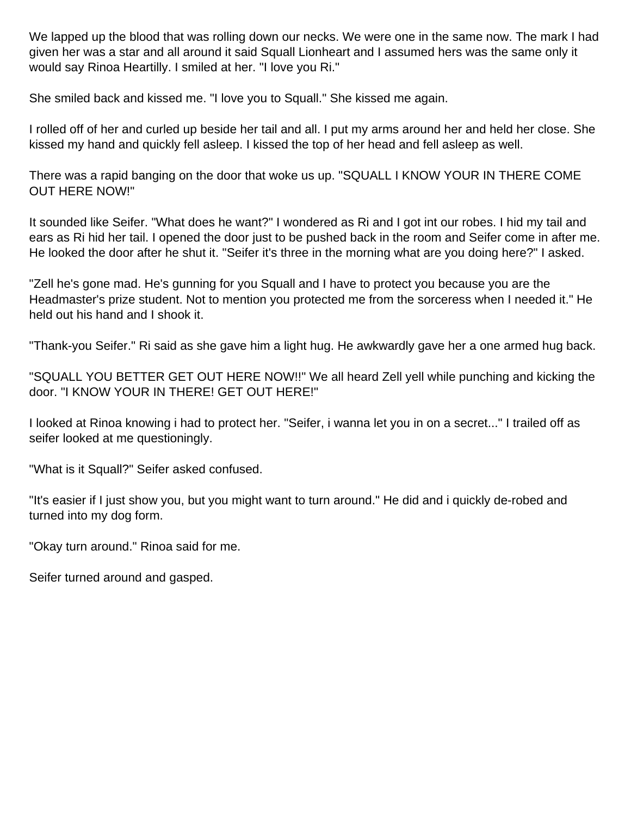We lapped up the blood that was rolling down our necks. We were one in the same now. The mark I had given her was a star and all around it said Squall Lionheart and I assumed hers was the same only it would say Rinoa Heartilly. I smiled at her. "I love you Ri."

She smiled back and kissed me. "I love you to Squall." She kissed me again.

I rolled off of her and curled up beside her tail and all. I put my arms around her and held her close. She kissed my hand and quickly fell asleep. I kissed the top of her head and fell asleep as well.

There was a rapid banging on the door that woke us up. "SQUALL I KNOW YOUR IN THERE COME OUT HERE NOW!"

It sounded like Seifer. "What does he want?" I wondered as Ri and I got int our robes. I hid my tail and ears as Ri hid her tail. I opened the door just to be pushed back in the room and Seifer come in after me. He looked the door after he shut it. "Seifer it's three in the morning what are you doing here?" I asked.

"Zell he's gone mad. He's gunning for you Squall and I have to protect you because you are the Headmaster's prize student. Not to mention you protected me from the sorceress when I needed it." He held out his hand and I shook it.

"Thank-you Seifer." Ri said as she gave him a light hug. He awkwardly gave her a one armed hug back.

"SQUALL YOU BETTER GET OUT HERE NOW!!" We all heard Zell yell while punching and kicking the door. "I KNOW YOUR IN THERE! GET OUT HERE!"

I looked at Rinoa knowing i had to protect her. "Seifer, i wanna let you in on a secret..." I trailed off as seifer looked at me questioningly.

"What is it Squall?" Seifer asked confused.

"It's easier if I just show you, but you might want to turn around." He did and i quickly de-robed and turned into my dog form.

"Okay turn around." Rinoa said for me.

Seifer turned around and gasped.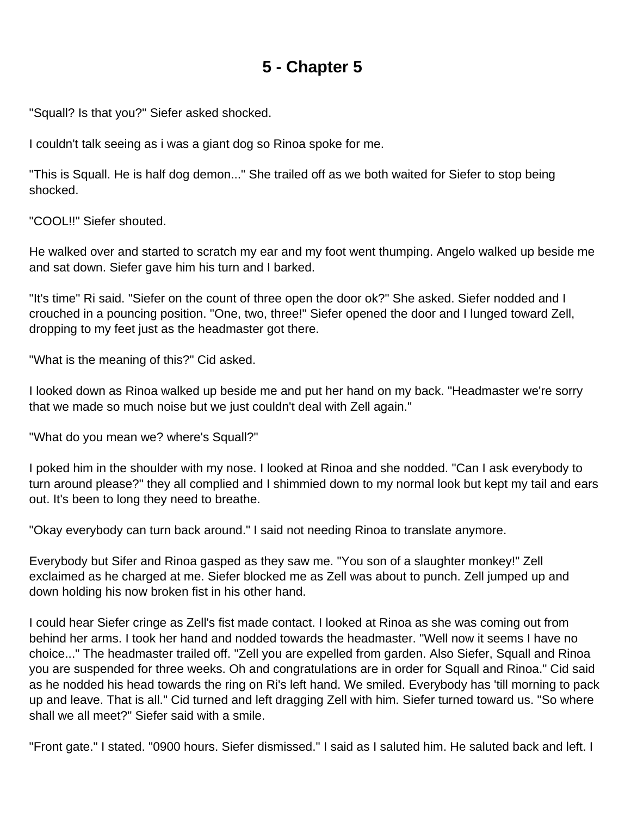<span id="page-11-0"></span>"Squall? Is that you?" Siefer asked shocked.

I couldn't talk seeing as i was a giant dog so Rinoa spoke for me.

"This is Squall. He is half dog demon..." She trailed off as we both waited for Siefer to stop being shocked.

"COOL!!" Siefer shouted.

He walked over and started to scratch my ear and my foot went thumping. Angelo walked up beside me and sat down. Siefer gave him his turn and I barked.

"It's time" Ri said. "Siefer on the count of three open the door ok?" She asked. Siefer nodded and I crouched in a pouncing position. "One, two, three!" Siefer opened the door and I lunged toward Zell, dropping to my feet just as the headmaster got there.

"What is the meaning of this?" Cid asked.

I looked down as Rinoa walked up beside me and put her hand on my back. "Headmaster we're sorry that we made so much noise but we just couldn't deal with Zell again."

"What do you mean we? where's Squall?"

I poked him in the shoulder with my nose. I looked at Rinoa and she nodded. "Can I ask everybody to turn around please?" they all complied and I shimmied down to my normal look but kept my tail and ears out. It's been to long they need to breathe.

"Okay everybody can turn back around." I said not needing Rinoa to translate anymore.

Everybody but Sifer and Rinoa gasped as they saw me. "You son of a slaughter monkey!" Zell exclaimed as he charged at me. Siefer blocked me as Zell was about to punch. Zell jumped up and down holding his now broken fist in his other hand.

I could hear Siefer cringe as Zell's fist made contact. I looked at Rinoa as she was coming out from behind her arms. I took her hand and nodded towards the headmaster. "Well now it seems I have no choice..." The headmaster trailed off. "Zell you are expelled from garden. Also Siefer, Squall and Rinoa you are suspended for three weeks. Oh and congratulations are in order for Squall and Rinoa." Cid said as he nodded his head towards the ring on Ri's left hand. We smiled. Everybody has 'till morning to pack up and leave. That is all." Cid turned and left dragging Zell with him. Siefer turned toward us. "So where shall we all meet?" Siefer said with a smile.

"Front gate." I stated. "0900 hours. Siefer dismissed." I said as I saluted him. He saluted back and left. I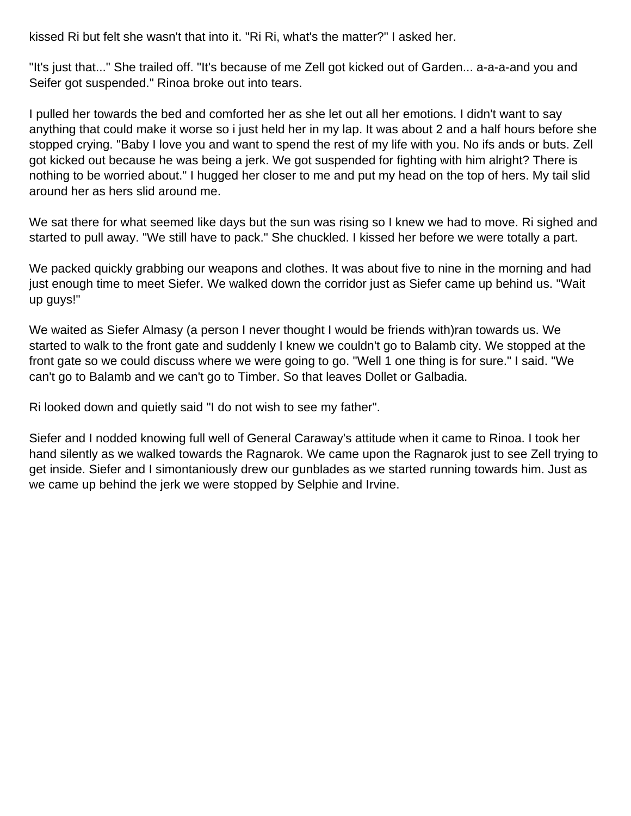kissed Ri but felt she wasn't that into it. "Ri Ri, what's the matter?" I asked her.

"It's just that..." She trailed off. "It's because of me Zell got kicked out of Garden... a-a-a-and you and Seifer got suspended." Rinoa broke out into tears.

I pulled her towards the bed and comforted her as she let out all her emotions. I didn't want to say anything that could make it worse so i just held her in my lap. It was about 2 and a half hours before she stopped crying. "Baby I love you and want to spend the rest of my life with you. No ifs ands or buts. Zell got kicked out because he was being a jerk. We got suspended for fighting with him alright? There is nothing to be worried about." I hugged her closer to me and put my head on the top of hers. My tail slid around her as hers slid around me.

We sat there for what seemed like days but the sun was rising so I knew we had to move. Ri sighed and started to pull away. "We still have to pack." She chuckled. I kissed her before we were totally a part.

We packed quickly grabbing our weapons and clothes. It was about five to nine in the morning and had just enough time to meet Siefer. We walked down the corridor just as Siefer came up behind us. "Wait up guys!"

We waited as Siefer Almasy (a person I never thought I would be friends with)ran towards us. We started to walk to the front gate and suddenly I knew we couldn't go to Balamb city. We stopped at the front gate so we could discuss where we were going to go. "Well 1 one thing is for sure." I said. "We can't go to Balamb and we can't go to Timber. So that leaves Dollet or Galbadia.

Ri looked down and quietly said "I do not wish to see my father".

Siefer and I nodded knowing full well of General Caraway's attitude when it came to Rinoa. I took her hand silently as we walked towards the Ragnarok. We came upon the Ragnarok just to see Zell trying to get inside. Siefer and I simontaniously drew our gunblades as we started running towards him. Just as we came up behind the jerk we were stopped by Selphie and Irvine.